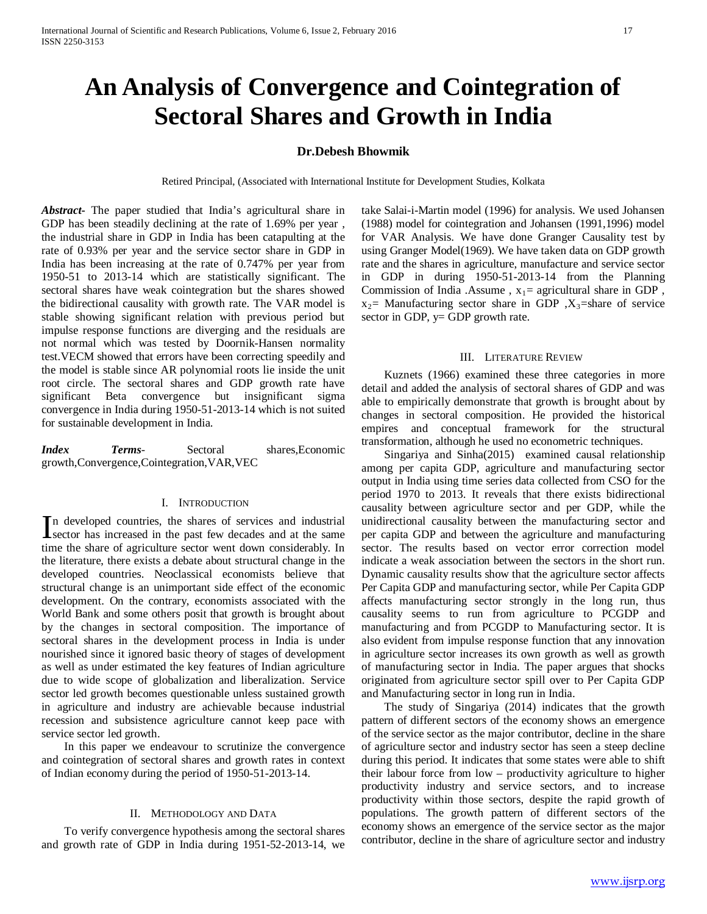# **An Analysis of Convergence and Cointegration of Sectoral Shares and Growth in India**

# **Dr.Debesh Bhowmik**

Retired Principal, (Associated with International Institute for Development Studies, Kolkata

*Abstract***-** The paper studied that India's agricultural share in GDP has been steadily declining at the rate of 1.69% per year , the industrial share in GDP in India has been catapulting at the rate of 0.93% per year and the service sector share in GDP in India has been increasing at the rate of 0.747% per year from 1950-51 to 2013-14 which are statistically significant. The sectoral shares have weak cointegration but the shares showed the bidirectional causality with growth rate. The VAR model is stable showing significant relation with previous period but impulse response functions are diverging and the residuals are not normal which was tested by Doornik-Hansen normality test.VECM showed that errors have been correcting speedily and the model is stable since AR polynomial roots lie inside the unit root circle. The sectoral shares and GDP growth rate have significant Beta convergence but insignificant sigma convergence in India during 1950-51-2013-14 which is not suited for sustainable development in India.

*Index Terms*- Sectoral shares,Economic growth,Convergence,Cointegration,VAR,VEC

#### I. INTRODUCTION

n developed countries, the shares of services and industrial In developed countries, the shares of services and industrial sector has increased in the past few decades and at the same time the share of agriculture sector went down considerably. In the literature, there exists a debate about structural change in the developed countries. Neoclassical economists believe that structural change is an unimportant side effect of the economic development. On the contrary, economists associated with the World Bank and some others posit that growth is brought about by the changes in sectoral composition. The importance of sectoral shares in the development process in India is under nourished since it ignored basic theory of stages of development as well as under estimated the key features of Indian agriculture due to wide scope of globalization and liberalization. Service sector led growth becomes questionable unless sustained growth in agriculture and industry are achievable because industrial recession and subsistence agriculture cannot keep pace with service sector led growth.

 In this paper we endeavour to scrutinize the convergence and cointegration of sectoral shares and growth rates in context of Indian economy during the period of 1950-51-2013-14.

## II. METHODOLOGY AND DATA

 To verify convergence hypothesis among the sectoral shares and growth rate of GDP in India during 1951-52-2013-14, we take Salai-i-Martin model (1996) for analysis. We used Johansen (1988) model for cointegration and Johansen (1991,1996) model for VAR Analysis. We have done Granger Causality test by using Granger Model(1969). We have taken data on GDP growth rate and the shares in agriculture, manufacture and service sector in GDP in during 1950-51-2013-14 from the Planning Commission of India .Assume,  $x_1$  = agricultural share in GDP,  $x_2$ = Manufacturing sector share in GDP,  $X_3$ =share of service sector in GDP,  $y = GDP$  growth rate.

#### III. LITERATURE REVIEW

 Kuznets (1966) examined these three categories in more detail and added the analysis of sectoral shares of GDP and was able to empirically demonstrate that growth is brought about by changes in sectoral composition. He provided the historical empires and conceptual framework for the structural transformation, although he used no econometric techniques.

 Singariya and Sinha(2015) examined causal relationship among per capita GDP, agriculture and manufacturing sector output in India using time series data collected from CSO for the period 1970 to 2013. It reveals that there exists bidirectional causality between agriculture sector and per GDP, while the unidirectional causality between the manufacturing sector and per capita GDP and between the agriculture and manufacturing sector. The results based on vector error correction model indicate a weak association between the sectors in the short run. Dynamic causality results show that the agriculture sector affects Per Capita GDP and manufacturing sector, while Per Capita GDP affects manufacturing sector strongly in the long run, thus causality seems to run from agriculture to PCGDP and manufacturing and from PCGDP to Manufacturing sector. It is also evident from impulse response function that any innovation in agriculture sector increases its own growth as well as growth of manufacturing sector in India. The paper argues that shocks originated from agriculture sector spill over to Per Capita GDP and Manufacturing sector in long run in India.

 The study of Singariya (2014) indicates that the growth pattern of different sectors of the economy shows an emergence of the service sector as the major contributor, decline in the share of agriculture sector and industry sector has seen a steep decline during this period. It indicates that some states were able to shift their labour force from low – productivity agriculture to higher productivity industry and service sectors, and to increase productivity within those sectors, despite the rapid growth of populations. The growth pattern of different sectors of the economy shows an emergence of the service sector as the major contributor, decline in the share of agriculture sector and industry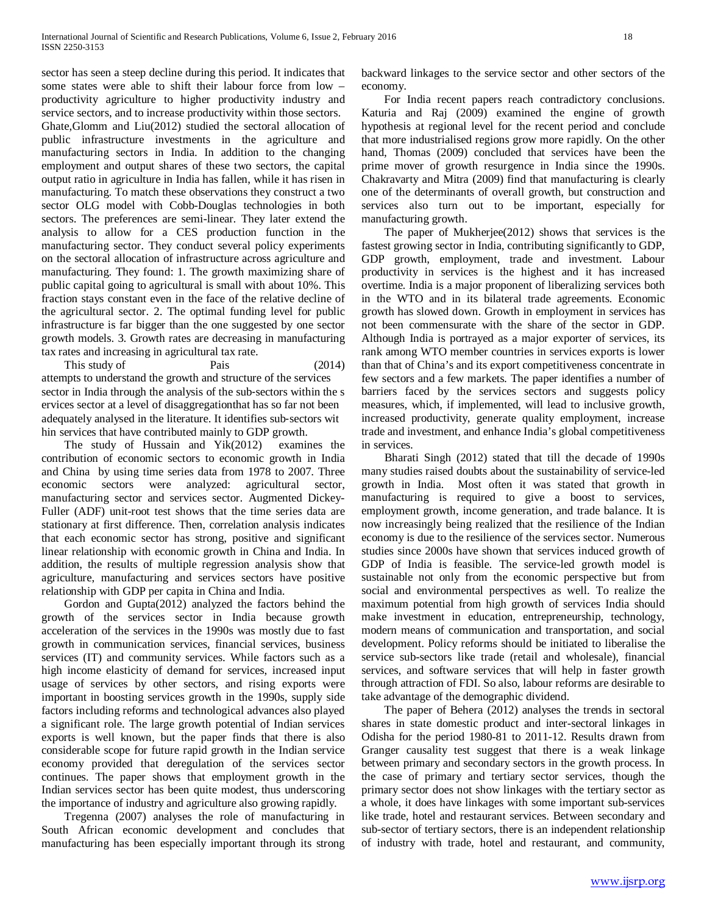sector has seen a steep decline during this period. It indicates that some states were able to shift their labour force from low – productivity agriculture to higher productivity industry and service sectors, and to increase productivity within those sectors. Ghate,Glomm and Liu(2012) studied the sectoral allocation of public infrastructure investments in the agriculture and manufacturing sectors in India. In addition to the changing employment and output shares of these two sectors, the capital output ratio in agriculture in India has fallen, while it has risen in manufacturing. To match these observations they construct a two sector OLG model with Cobb-Douglas technologies in both sectors. The preferences are semi-linear. They later extend the analysis to allow for a CES production function in the manufacturing sector. They conduct several policy experiments on the sectoral allocation of infrastructure across agriculture and manufacturing. They found: 1. The growth maximizing share of public capital going to agricultural is small with about 10%. This fraction stays constant even in the face of the relative decline of the agricultural sector. 2. The optimal funding level for public infrastructure is far bigger than the one suggested by one sector growth models. 3. Growth rates are decreasing in manufacturing tax rates and increasing in agricultural tax rate.

This study of Pais (2014) attempts to understand the growth and structure of the services sector in India through the analysis of the sub‐sectors within the s ervices sector at a level of disaggregationthat has so far not been adequately analysed in the literature. It identifies sub‐sectors wit hin services that have contributed mainly to GDP growth.

 The study of Hussain and Yik(2012) examines the contribution of economic sectors to economic growth in India and China by using time series data from 1978 to 2007. Three economic sectors were analyzed: agricultural sector, manufacturing sector and services sector. Augmented Dickey-Fuller (ADF) unit-root test shows that the time series data are stationary at first difference. Then, correlation analysis indicates that each economic sector has strong, positive and significant linear relationship with economic growth in China and India. In addition, the results of multiple regression analysis show that agriculture, manufacturing and services sectors have positive relationship with GDP per capita in China and India.

 Gordon and Gupta(2012) analyzed the factors behind the growth of the services sector in India because growth acceleration of the services in the 1990s was mostly due to fast growth in communication services, financial services, business services (IT) and community services. While factors such as a high income elasticity of demand for services, increased input usage of services by other sectors, and rising exports were important in boosting services growth in the 1990s, supply side factors including reforms and technological advances also played a significant role. The large growth potential of Indian services exports is well known, but the paper finds that there is also considerable scope for future rapid growth in the Indian service economy provided that deregulation of the services sector continues. The paper shows that employment growth in the Indian services sector has been quite modest, thus underscoring the importance of industry and agriculture also growing rapidly.

 Tregenna (2007) analyses the role of manufacturing in South African economic development and concludes that manufacturing has been especially important through its strong

backward linkages to the service sector and other sectors of the economy.

 For India recent papers reach contradictory conclusions. Katuria and Raj (2009) examined the engine of growth hypothesis at regional level for the recent period and conclude that more industrialised regions grow more rapidly. On the other hand, Thomas (2009) concluded that services have been the prime mover of growth resurgence in India since the 1990s. Chakravarty and Mitra (2009) find that manufacturing is clearly one of the determinants of overall growth, but construction and services also turn out to be important, especially for manufacturing growth.

 The paper of Mukherjee(2012) shows that services is the fastest growing sector in India, contributing significantly to GDP, GDP growth, employment, trade and investment. Labour productivity in services is the highest and it has increased overtime. India is a major proponent of liberalizing services both in the WTO and in its bilateral trade agreements. Economic growth has slowed down. Growth in employment in services has not been commensurate with the share of the sector in GDP. Although India is portrayed as a major exporter of services, its rank among WTO member countries in services exports is lower than that of China's and its export competitiveness concentrate in few sectors and a few markets. The paper identifies a number of barriers faced by the services sectors and suggests policy measures, which, if implemented, will lead to inclusive growth, increased productivity, generate quality employment, increase trade and investment, and enhance India's global competitiveness in services.

 Bharati Singh (2012) stated that till the decade of 1990s many studies raised doubts about the sustainability of service-led growth in India. Most often it was stated that growth in manufacturing is required to give a boost to services, employment growth, income generation, and trade balance. It is now increasingly being realized that the resilience of the Indian economy is due to the resilience of the services sector. Numerous studies since 2000s have shown that services induced growth of GDP of India is feasible. The service-led growth model is sustainable not only from the economic perspective but from social and environmental perspectives as well. To realize the maximum potential from high growth of services India should make investment in education, entrepreneurship, technology, modern means of communication and transportation, and social development. Policy reforms should be initiated to liberalise the service sub-sectors like trade (retail and wholesale), financial services, and software services that will help in faster growth through attraction of FDI. So also, labour reforms are desirable to take advantage of the demographic dividend.

 The paper of Behera (2012) analyses the trends in sectoral shares in state domestic product and inter-sectoral linkages in Odisha for the period 1980-81 to 2011-12. Results drawn from Granger causality test suggest that there is a weak linkage between primary and secondary sectors in the growth process. In the case of primary and tertiary sector services, though the primary sector does not show linkages with the tertiary sector as a whole, it does have linkages with some important sub-services like trade, hotel and restaurant services. Between secondary and sub-sector of tertiary sectors, there is an independent relationship of industry with trade, hotel and restaurant, and community,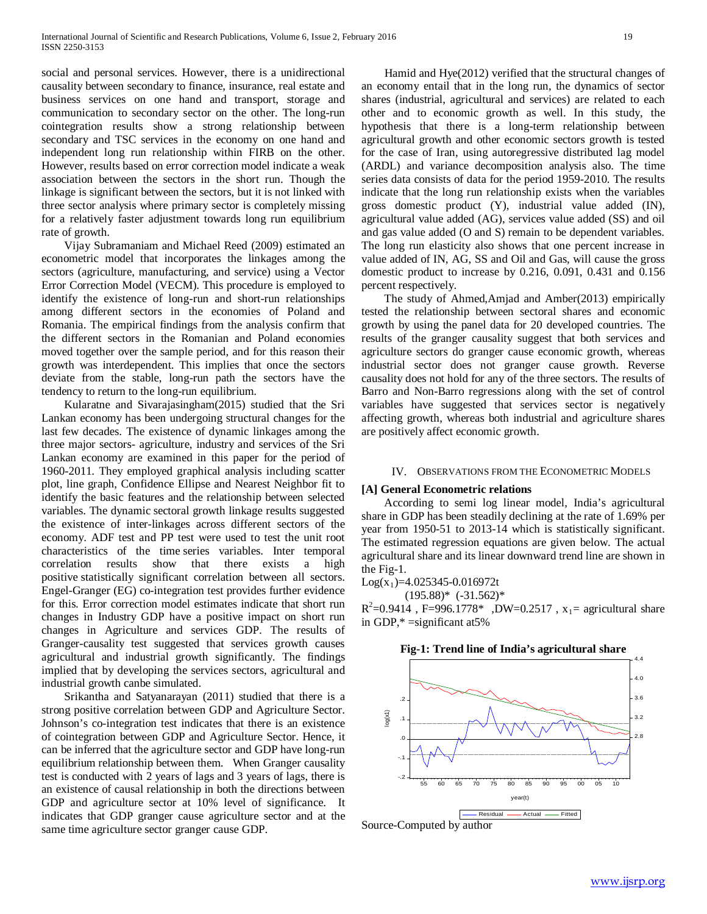social and personal services. However, there is a unidirectional causality between secondary to finance, insurance, real estate and business services on one hand and transport, storage and communication to secondary sector on the other. The long-run cointegration results show a strong relationship between secondary and TSC services in the economy on one hand and independent long run relationship within FIRB on the other. However, results based on error correction model indicate a weak association between the sectors in the short run. Though the linkage is significant between the sectors, but it is not linked with three sector analysis where primary sector is completely missing for a relatively faster adjustment towards long run equilibrium rate of growth.

 Vijay Subramaniam and Michael Reed (2009) estimated an econometric model that incorporates the linkages among the sectors (agriculture, manufacturing, and service) using a Vector Error Correction Model (VECM). This procedure is employed to identify the existence of long-run and short-run relationships among different sectors in the economies of Poland and Romania. The empirical findings from the analysis confirm that the different sectors in the Romanian and Poland economies moved together over the sample period, and for this reason their growth was interdependent. This implies that once the sectors deviate from the stable, long-run path the sectors have the tendency to return to the long-run equilibrium.

 Kularatne and Sivarajasingham(2015) studied that the Sri Lankan economy has been undergoing structural changes for the last few decades. The existence of dynamic linkages among the three major sectors- agriculture, industry and services of the Sri Lankan economy are examined in this paper for the period of 1960-2011. They employed graphical analysis including scatter plot, line graph, Confidence Ellipse and Nearest Neighbor fit to identify the basic features and the relationship between selected variables. The dynamic sectoral growth linkage results suggested the existence of inter-linkages across different sectors of the economy. ADF test and PP test were used to test the unit root characteristics of the time series variables. Inter temporal correlation results show that there exists a high positive statistically significant correlation between all sectors. Engel-Granger (EG) co-integration test provides further evidence for this. Error correction model estimates indicate that short run changes in Industry GDP have a positive impact on short run changes in Agriculture and services GDP. The results of Granger-causality test suggested that services growth causes agricultural and industrial growth significantly. The findings implied that by developing the services sectors, agricultural and industrial growth canbe simulated.

 Srikantha and Satyanarayan (2011) studied that there is a strong positive correlation between GDP and Agriculture Sector. Johnson's co-integration test indicates that there is an existence of cointegration between GDP and Agriculture Sector. Hence, it can be inferred that the agriculture sector and GDP have long-run equilibrium relationship between them. When Granger causality test is conducted with 2 years of lags and 3 years of lags, there is an existence of causal relationship in both the directions between GDP and agriculture sector at 10% level of significance. It indicates that GDP granger cause agriculture sector and at the same time agriculture sector granger cause GDP.

 Hamid and Hye(2012) verified that the structural changes of an economy entail that in the long run, the dynamics of sector shares (industrial, agricultural and services) are related to each other and to economic growth as well. In this study, the hypothesis that there is a long-term relationship between agricultural growth and other economic sectors growth is tested for the case of Iran, using autoregressive distributed lag model (ARDL) and variance decomposition analysis also. The time series data consists of data for the period 1959-2010. The results indicate that the long run relationship exists when the variables gross domestic product (Y), industrial value added (IN), agricultural value added (AG), services value added (SS) and oil and gas value added (O and S) remain to be dependent variables. The long run elasticity also shows that one percent increase in value added of IN, AG, SS and Oil and Gas, will cause the gross domestic product to increase by 0.216, 0.091, 0.431 and 0.156 percent respectively.

 The study of Ahmed,Amjad and Amber(2013) empirically tested the relationship between sectoral shares and economic growth by using the panel data for 20 developed countries. The results of the granger causality suggest that both services and agriculture sectors do granger cause economic growth, whereas industrial sector does not granger cause growth. Reverse causality does not hold for any of the three sectors. The results of Barro and Non-Barro regressions along with the set of control variables have suggested that services sector is negatively affecting growth, whereas both industrial and agriculture shares are positively affect economic growth.

#### IV. OBSERVATIONS FROM THE ECONOMETRIC MODELS

## **[A] General Econometric relations**

 According to semi log linear model, India's agricultural share in GDP has been steadily declining at the rate of 1.69% per year from 1950-51 to 2013-14 which is statistically significant. The estimated regression equations are given below. The actual agricultural share and its linear downward trend line are shown in the Fig-1.

 $Log(x_1)=4.025345-0.016972t$ 

 $(195.88)$ \*  $(-31.562)$ \*

 $R^2 = 0.9414$ , F=996.1778\*, DW=0.2517, x<sub>1</sub> = agricultural share in GDP,\* =significant at5%



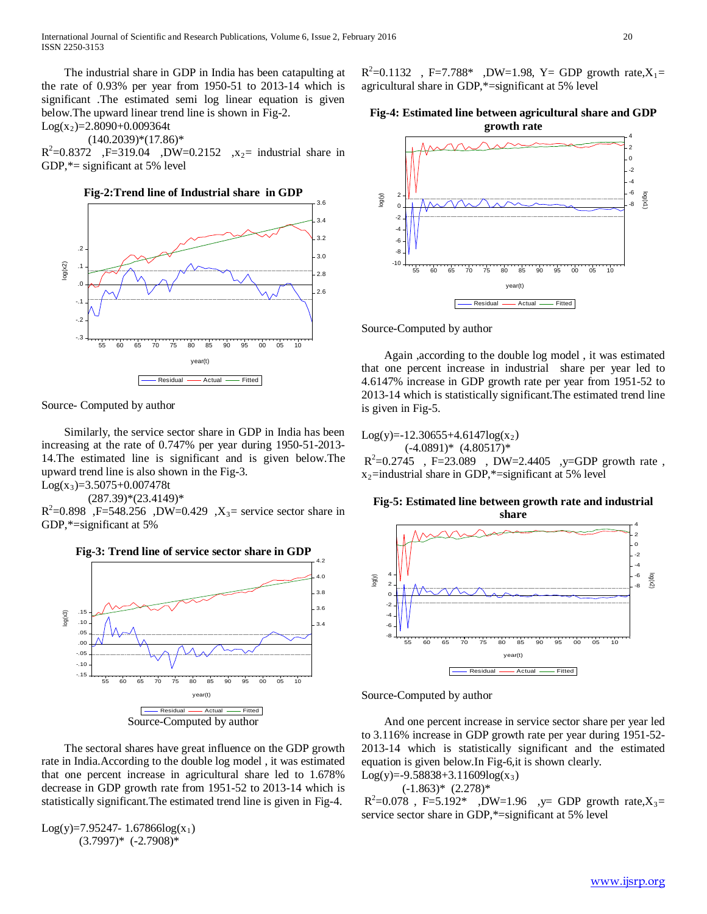The industrial share in GDP in India has been catapulting at the rate of 0.93% per year from 1950-51 to 2013-14 which is significant .The estimated semi log linear equation is given below.The upward linear trend line is shown in Fig-2.

 $Log(x_2)=2.8090+0.009364t$ 

 $(140.2039)*(17.86)*$ 

 $R^2 = 0.8372$ , F=319.04, DW=0.2152, x<sub>2</sub>= industrial share in GDP, $*$ = significant at 5% level





Source- Computed by author

 Similarly, the service sector share in GDP in India has been increasing at the rate of 0.747% per year during 1950-51-2013- 14.The estimated line is significant and is given below.The upward trend line is also shown in the Fig-3.

 $Log(x_3)=3.5075+0.007478t$ 

 $(287.39)*(23.4149)*$ 

 $R^2 = 0.898$ , F=548.256, DW=0.429, X<sub>3</sub>= service sector share in GDP,\*=significant at 5%



 The sectoral shares have great influence on the GDP growth rate in India.According to the double log model , it was estimated that one percent increase in agricultural share led to 1.678% decrease in GDP growth rate from 1951-52 to 2013-14 which is statistically significant.The estimated trend line is given in Fig-4.

 $Log(y)=7.95247-1.67866log(x_1)$  $(3.7997)^*$   $(-2.7908)^*$ 

 $R^2 = 0.1132$ , F=7.788\*, DW=1.98, Y= GDP growth rate, $X_1 =$ agricultural share in GDP,\*=significant at 5% level

# **Fig-4: Estimated line between agricultural share and GDP growth rate**



Source-Computed by author

 Again ,according to the double log model , it was estimated that one percent increase in industrial share per year led to 4.6147% increase in GDP growth rate per year from 1951-52 to 2013-14 which is statistically significant.The estimated trend line is given in Fig-5.

 $Log(y)=12.30655+4.6147log(x_2)$  $(-4.0891)^*$   $(4.80517)^*$ 

 $R^2 = 0.2745$ , F=23.089, DW=2.4405, y=GDP growth rate,  $x_2$ =industrial share in GDP,\*=significant at 5% level

## **Fig-5: Estimated line between growth rate and industrial share**



Source-Computed by author

 And one percent increase in service sector share per year led to 3.116% increase in GDP growth rate per year during 1951-52- 2013-14 which is statistically significant and the estimated equation is given below.In Fig-6,it is shown clearly.  $Log(y)=-9.58838+3.11609log(x_3)$ 

 $(-1.863)*$   $(2.278)*$ 

 $R^2 = 0.078$ , F=5.192\*, DW=1.96,  $y=$  GDP growth rate, $X_3 =$ service sector share in GDP,\*=significant at 5% level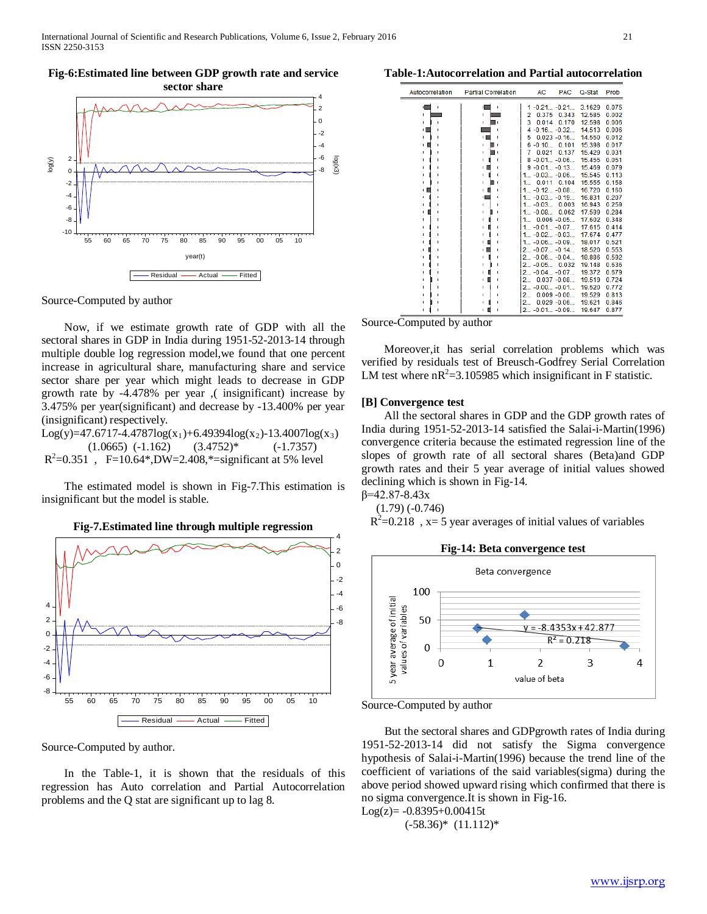**Fig-6:Estimated line between GDP growth rate and service** 



#### Source-Computed by author

 Now, if we estimate growth rate of GDP with all the sectoral shares in GDP in India during 1951-52-2013-14 through multiple double log regression model,we found that one percent increase in agricultural share, manufacturing share and service sector share per year which might leads to decrease in GDP growth rate by -4.478% per year ,( insignificant) increase by 3.475% per year(significant) and decrease by -13.400% per year (insignificant) respectively.

 $Log(y)=47.6717-4.4787log(x_1)+6.49394log(x_2)-13.4007log(x_3)$  $(1.0665)$   $(-1.162)$   $(3.4752)*$   $(-1.7357)$  $R^2 = 0.351$ , F=10.64\*,DW=2.408,\*=significant at 5% level

 The estimated model is shown in Fig-7.This estimation is insignificant but the model is stable.

**Fig-7.Estimated line through multiple regression** 



Source-Computed by author.

 In the Table-1, it is shown that the residuals of this regression has Auto correlation and Partial Autocorrelation problems and the Q stat are significant up to lag 8.

#### **Table-1:Autocorrelation and Partial autocorrelation**

| Autocorrelation   | <b>Partial Correlation</b> | AC<br><b>PAC</b>    | Q-Stat | Prob  |
|-------------------|----------------------------|---------------------|--------|-------|
| Ĭ.                | ï                          | $1 - 0.21 - 0.21$   | 3.1629 | 0.075 |
| f,                | п                          | 0.375<br>0.343<br>2 | 12.585 | 0.002 |
| I.                | ٠                          | 3<br>0.014<br>0.170 | 12.598 | 0.006 |
| ıГ                |                            | $4 - 0.16 - 0.32$   | 14.513 | 0.006 |
| I.                | п                          | $0.023 - 0.16$<br>5 | 14.550 | 0.012 |
| п<br>$\mathbf{L}$ | ٠                          | $6 - 0.10$<br>0.101 | 15.398 | 0.017 |
|                   | ٠                          | 0.021<br>0.137<br>7 | 15.429 | 0.031 |
| ٠                 | T.                         | $8 - 0.01 - 0.06$   | 15.455 | 0.051 |
| ı                 | r.                         | $9 - 0.01 - 0.13$   | 15.469 | 0.079 |
|                   | ٠                          | $1 -0.03 -0.06$     | 15.545 | 0.113 |
| f,                | T.                         | 0.011<br>0.104<br>1 | 15.555 | 0.158 |
| п                 | ٠                          | $1 -0.12 -0.08$     | 16.720 | 0.160 |
|                   | ٠I                         | $1 -0.03 -0.19$     | 16.831 | 0.207 |
| I.                | r.                         | $1 -0.03$<br>0.003  | 16.943 | 0.259 |
| ٠                 | T.                         | $1 -0.08$<br>0.062  | 17.599 | 0.284 |
|                   | f.                         | $0.006 - 0.05$<br>1 | 17.602 | 0.348 |
| ٠                 | ٠                          | $1 -0.01 -0.07$     | 17.615 | 0.414 |
| ٠                 | ٠                          | $1 -0.02 -0.03$     | 17.674 | 0.477 |
|                   | r.                         | $1 -0.06 -0.09$     | 18.017 | 0.521 |
|                   | ш                          | $2 -0.07 -0.14$     | 18.520 | 0.553 |
|                   | T.                         | $2 -0.06 -0.04$     | 18.886 | 0.592 |
|                   | ٠                          | $2 - 0.05$<br>0.032 | 19.148 | 0.636 |
|                   | ٠                          | $2 -0.04 -0.07$     | 19.372 | 0.679 |
|                   | T.                         | $0.037 - 0.08$<br>2 | 19.519 | 0.724 |
|                   | ٠                          | $2 -0.00 -0.01$     | 19.520 | 0.772 |
|                   | ٠                          | 2<br>$0.009 - 0.00$ | 19.529 | 0.813 |
|                   |                            | 2<br>$0.029 - 0.06$ | 19.621 | 0.846 |
|                   | ٠                          | $2 -0.01 -0.09$     | 19.647 | 0.877 |
|                   |                            |                     |        |       |

Source-Computed by author

 Moreover,it has serial correlation problems which was verified by residuals test of Breusch-Godfrey Serial Correlation LM test where  $nR^2 = 3.105985$  which insignificant in F statistic.

## **[B] Convergence test**

 All the sectoral shares in GDP and the GDP growth rates of India during 1951-52-2013-14 satisfied the Salai-i-Martin(1996) convergence criteria because the estimated regression line of the slopes of growth rate of all sectoral shares (Beta)and GDP growth rates and their 5 year average of initial values showed declining which is shown in Fig-14.  $β=42.87-8.43x$ 

 $(1.79) (-0.746)$ 

 $R^2$ =0.218, x= 5 year averages of initial values of variables



Source-Computed by author

 But the sectoral shares and GDPgrowth rates of India during 1951-52-2013-14 did not satisfy the Sigma convergence hypothesis of Salai-i-Martin(1996) because the trend line of the coefficient of variations of the said variables(sigma) during the above period showed upward rising which confirmed that there is no sigma convergence.It is shown in Fig-16.  $Log(z) = -0.8395 + 0.00415t$ 

$$
f(Z) = -0.8393 + 0.004131
$$

$$
(-58.36)^* \ (11.112)^*
$$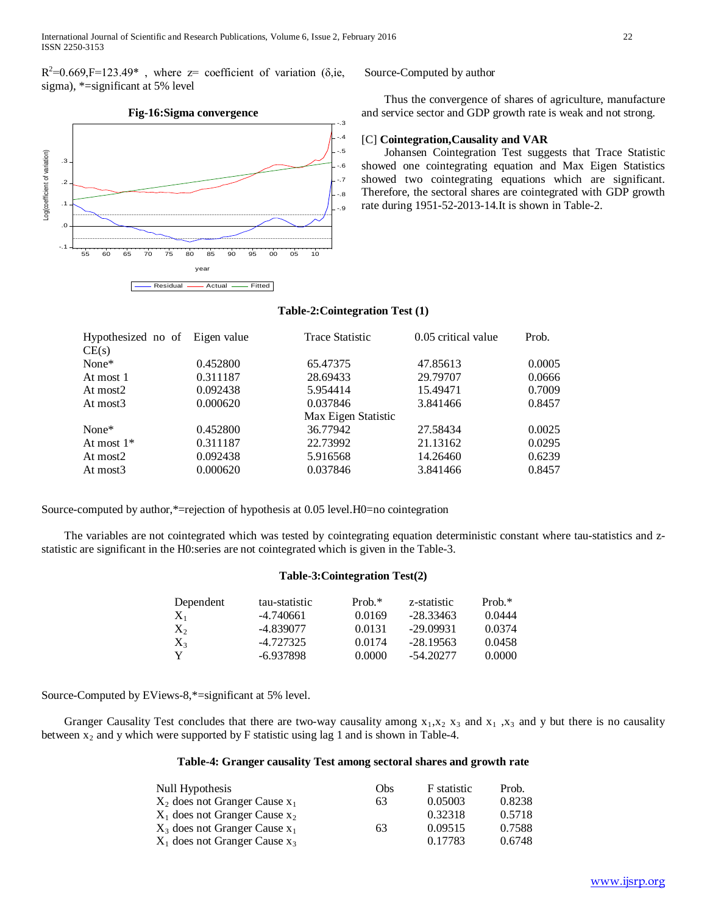$R^2=0.669$ , F=123.49<sup>\*</sup>, where z= coefficient of variation ( $\delta$ , ie, sigma), \*=significant at 5% level



## Source-Computed by author

 Thus the convergence of shares of agriculture, manufacture and service sector and GDP growth rate is weak and not strong.

## [C] **Cointegration,Causality and VAR**

 Johansen Cointegration Test suggests that Trace Statistic showed one cointegrating equation and Max Eigen Statistics showed two cointegrating equations which are significant. Therefore, the sectoral shares are cointegrated with GDP growth rate during 1951-52-2013-14.It is shown in Table-2.

## **Table-2:Cointegration Test (1)**

| Hypothesized no of Eigen value |          | <b>Trace Statistic</b> | 0.05 critical value | Prob.  |
|--------------------------------|----------|------------------------|---------------------|--------|
| CE(s)                          |          |                        |                     |        |
| None*                          | 0.452800 | 65.47375               | 47.85613            | 0.0005 |
| At most 1                      | 0.311187 | 28.69433               | 29.79707            | 0.0666 |
| At most2                       | 0.092438 | 5.954414               | 15.49471            | 0.7009 |
| At most3                       | 0.000620 | 0.037846               | 3.841466            | 0.8457 |
|                                |          | Max Eigen Statistic    |                     |        |
| None*                          | 0.452800 | 36.77942               | 27.58434            | 0.0025 |
| At most 1*                     | 0.311187 | 22.73992               | 21.13162            | 0.0295 |
| At most2                       | 0.092438 | 5.916568               | 14.26460            | 0.6239 |
| At most3                       | 0.000620 | 0.037846               | 3.841466            | 0.8457 |
|                                |          |                        |                     |        |

Source-computed by author,\*=rejection of hypothesis at 0.05 level.H0=no cointegration

 The variables are not cointegrated which was tested by cointegrating equation deterministic constant where tau-statistics and zstatistic are significant in the H0:series are not cointegrated which is given in the Table-3.

# **Table-3:Cointegration Test(2)**

| Dependent | tau-statistic | Prob. $*$ | z-statistic | $Prob.*$ |
|-----------|---------------|-----------|-------------|----------|
| $X_1$     | -4.740661     | 0.0169    | $-28.33463$ | 0.0444   |
| $X_2$     | -4.839077     | 0.0131    | $-29.09931$ | 0.0374   |
| $X_3$     | -4.727325     | 0.0174    | $-28.19563$ | 0.0458   |
| Y         | -6.937898     | 0.0000    | $-54.20277$ | 0.0000   |

Source-Computed by EViews-8,\*=significant at 5% level.

Granger Causality Test concludes that there are two-way causality among  $x_1, x_2, x_3$  and  $x_1, x_3$  and y but there is no causality between  $x_2$  and y which were supported by F statistic using lag 1 and is shown in Table-4.

## **Table-4: Granger causality Test among sectoral shares and growth rate**

| Null Hypothesis                    | Obs | F statistic | Prob.  |
|------------------------------------|-----|-------------|--------|
| $X_2$ does not Granger Cause $x_1$ | 63  | 0.05003     | 0.8238 |
| $X_1$ does not Granger Cause $x_2$ |     | 0.32318     | 0.5718 |
| $X_3$ does not Granger Cause $x_1$ | 63  | 0.09515     | 0.7588 |
| $X_1$ does not Granger Cause $x_3$ |     | 0.17783     | 0.6748 |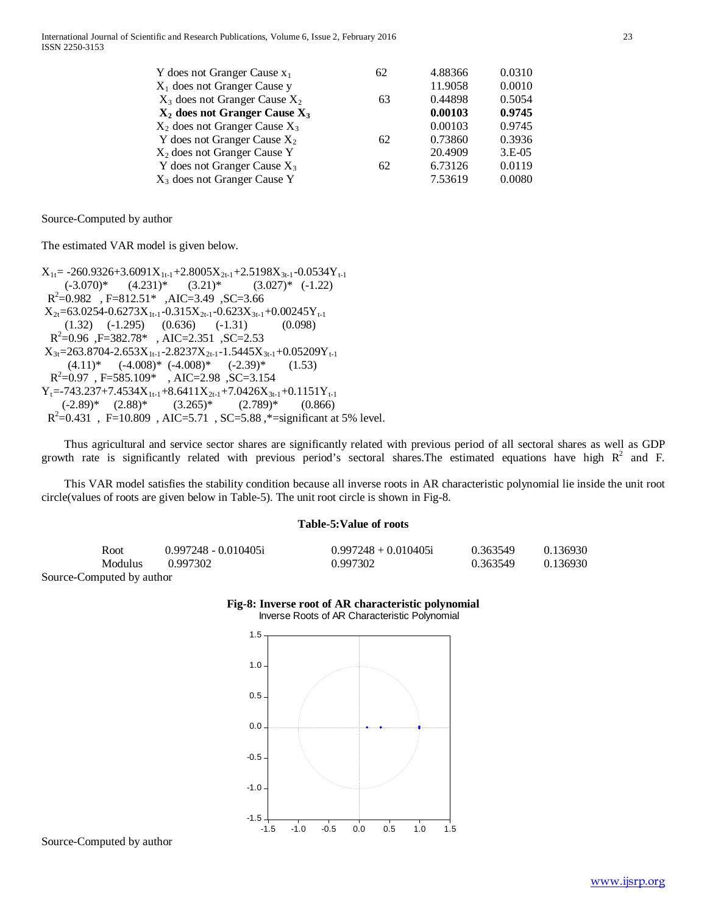| Y does not Granger Cause $x_1$          | 62 | 4.88366 | 0.0310   |
|-----------------------------------------|----|---------|----------|
| $X_1$ does not Granger Cause y          |    | 11.9058 | 0.0010   |
| $X_3$ does not Granger Cause $X_2$      | 63 | 0.44898 | 0.5054   |
| $X_2$ does not Granger Cause $X_3$      |    | 0.00103 | 0.9745   |
| $X_2$ does not Granger Cause $X_3$      |    | 0.00103 | 0.9745   |
| Y does not Granger Cause $X_2$          | 62 | 0.73860 | 0.3936   |
| X <sub>2</sub> does not Granger Cause Y |    | 20.4909 | $3.E-05$ |
| Y does not Granger Cause $X_3$          | 62 | 6.73126 | 0.0119   |
| $X_3$ does not Granger Cause Y          |    | 7.53619 | 0.0080   |
|                                         |    |         |          |

Source-Computed by author

The estimated VAR model is given below.

 $X_{1t}$  = -260.9326+3.6091 $X_{1t-1}$ +2.8005 $X_{2t-1}$ +2.5198 $X_{3t-1}$ -0.0534 $Y_{t-1}$  $(-3.070)^*$   $(4.231)^*$   $(3.21)^*$   $(3.027)^*$   $(-1.22)$  R2 =0.982 , F=812.51\* ,AIC=3.49 ,SC=3.66  $X_{2t}$ =63.0254-0.6273 $X_{1t-1}$ -0.315 $X_{2t-1}$ -0.623 $X_{3t-1}$ +0.00245 $Y_{t-1}$  $(1.32)$   $(-1.295)$   $(0.636)$   $(-1.31)$   $(0.098)$  R2 =0.96 ,F=382.78\* , AIC=2.351 ,SC=2.53  $X_{3t}$ =263.8704-2.653 $X_{1t-1}$ -2.8237 $X_{2t-1}$ -1.5445 $X_{3t-1}$ +0.05209 $Y_{t-1}$  $(4.11)^*$   $(-4.008)^*$   $(-4.008)^*$   $(-2.39)^*$   $(1.53)$  $R^2$ =0.97, F=585.109\*, AIC=2.98, SC=3.154  $Y_t$ =-743.237+7.4534 $X_{1t-1}$ +8.6411 $X_{2t-1}$ +7.0426 $X_{3t-1}$ +0.1151 $Y_{t-1}$  $(-2.89)^*$   $(2.88)^*$   $(3.265)^*$   $(2.789)^*$   $(0.866)$  $R^2 = 0.431$ , F=10.809, AIC=5.71, SC=5.88, \*= significant at 5% level.

 Thus agricultural and service sector shares are significantly related with previous period of all sectoral shares as well as GDP growth rate is significantly related with previous period's sectoral shares. The estimated equations have high  $R^2$  and F.

 This VAR model satisfies the stability condition because all inverse roots in AR characteristic polynomial lie inside the unit root circle(values of roots are given below in Table-5). The unit root circle is shown in Fig-8.

## **Table-5:Value of roots**

| Root                                      | $0.997248 - 0.010405i$ | $0.997248 + 0.010405i$ | 0.363549 | 0.136930 |
|-------------------------------------------|------------------------|------------------------|----------|----------|
| <b>Modulus</b>                            | 0.997302               | 0.997302               | 0.363549 | 0.136930 |
| $\alpha$ $\alpha$ $\beta$ $\beta$ $\beta$ |                        |                        |          |          |

Source-Computed by author





Source-Computed by author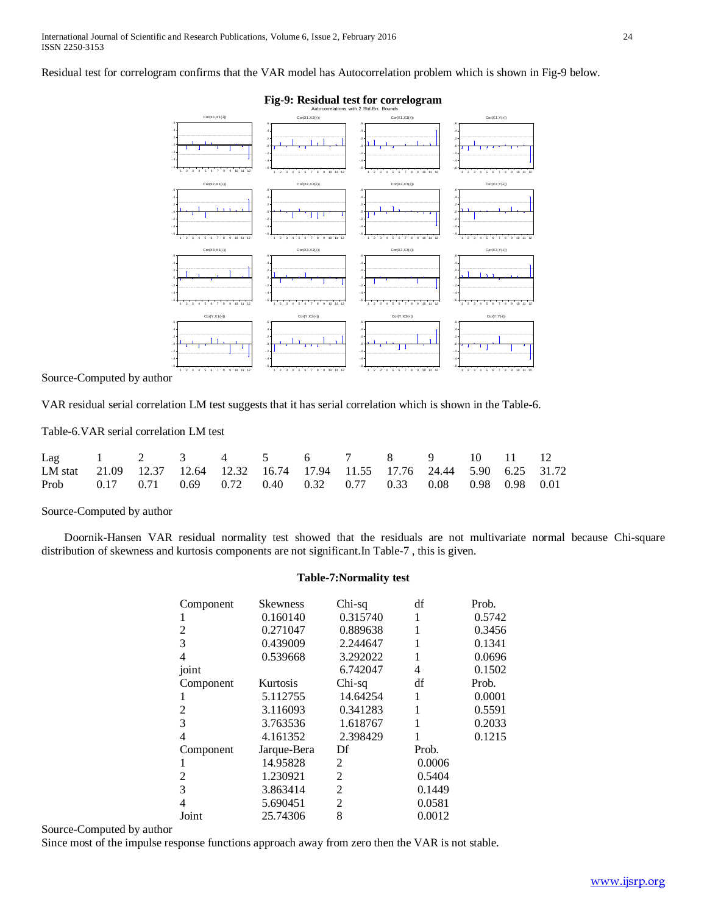Residual test for correlogram confirms that the VAR model has Autocorrelation problem which is shown in Fig-9 below.



Source-Computed by author

VAR residual serial correlation LM test suggests that it has serial correlation which is shown in the Table-6.

Table-6.VAR serial correlation LM test

| Lag 1 2 3 4 5 6 7 8 9 10 11 12                                                |  |  |  |  |  |  |
|-------------------------------------------------------------------------------|--|--|--|--|--|--|
| LM stat 21.09 12.37 12.64 12.32 16.74 17.94 11.55 17.76 24.44 5.90 6.25 31.72 |  |  |  |  |  |  |
| Prob 0.17 0.71 0.69 0.72 0.40 0.32 0.77 0.33 0.08 0.98 0.98 0.01              |  |  |  |  |  |  |

Source-Computed by author

 Doornik-Hansen VAR residual normality test showed that the residuals are not multivariate normal because Chi-square distribution of skewness and kurtosis components are not significant.In Table-7 , this is given.

# **Table-7:Normality test**

| Component      | <b>Skewness</b> | Chi-sq         | df     | Prob.  |
|----------------|-----------------|----------------|--------|--------|
|                | 0.160140        | 0.315740       | 1      | 0.5742 |
| 2              | 0.271047        | 0.889638       | 1      | 0.3456 |
| 3              | 0.439009        | 2.244647       | 1      | 0.1341 |
| 4              | 0.539668        | 3.292022       | 1      | 0.0696 |
| joint          |                 | 6.742047       | 4      | 0.1502 |
| Component      | Kurtosis        | Chi-sq         | df     | Prob.  |
|                | 5.112755        | 14.64254       | 1      | 0.0001 |
| 2              | 3.116093        | 0.341283       | 1      | 0.5591 |
| 3              | 3.763536        | 1.618767       | 1      | 0.2033 |
| 4              | 4.161352        | 2.398429       | 1      | 0.1215 |
| Component      | Jarque-Bera     | Df             | Prob.  |        |
|                | 14.95828        | 2              | 0.0006 |        |
| $\mathfrak{D}$ | 1.230921        | 2              | 0.5404 |        |
| 3              | 3.863414        | $\overline{c}$ | 0.1449 |        |
| 4              | 5.690451        | 2              | 0.0581 |        |
| Joint          | 25.74306        | 8              | 0.0012 |        |

Source-Computed by author

Since most of the impulse response functions approach away from zero then the VAR is not stable.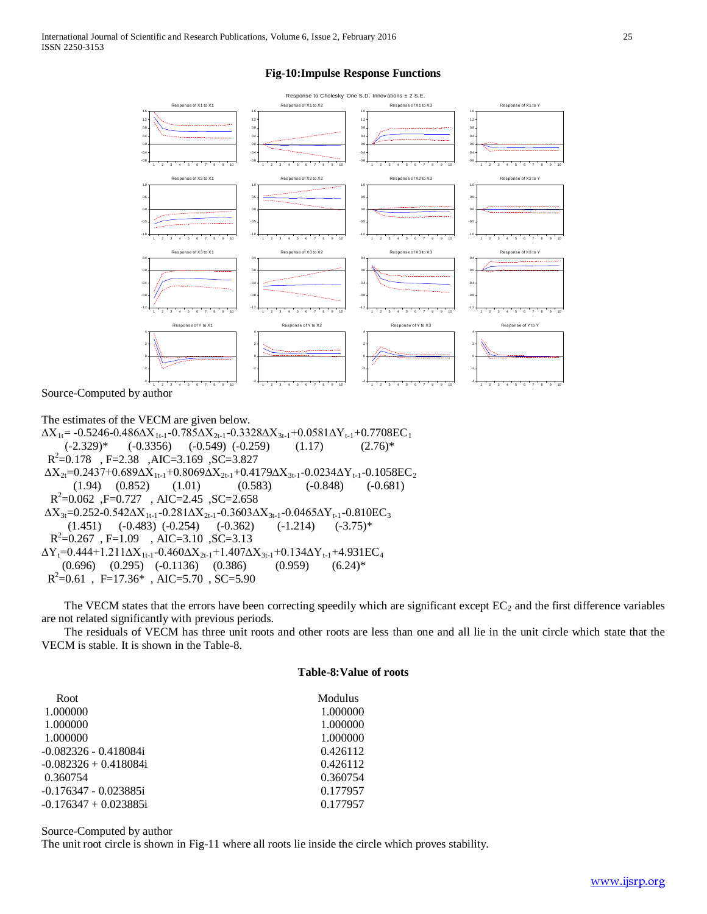## **Fig-10:Impulse Response Functions**



Source-Computed by author

The estimates of the VECM are given below.  $\Delta X_{1t}$ = -0.5246-0.486 $\Delta X_{1t-1}$ -0.785 $\Delta X_{2t-1}$ -0.3328 $\Delta X_{3t-1}$ +0.0581 $\Delta Y_{t-1}$ +0.7708EC<sub>1</sub>  $(-2.329)^*$   $(-0.3356)$   $(-0.549)$   $(-0.259)$   $(1.17)$   $(2.76)^*$  R2 =0.178 , F=2.38 ,AIC=3.169 ,SC=3.827  $\Delta X_{2t}$ =0.2437+0.689 $\Delta X_{1t-1}$ +0.8069 $\Delta X_{2t-1}$ +0.4179 $\Delta X_{3t-1}$ -0.0234 $\Delta Y_{t-1}$ -0.1058EC<sub>2</sub>  $(1.94)$   $(0.852)$   $(1.01)$   $(0.583)$   $(-0.848)$   $(-0.681)$  $R^2$ =0.062, F=0.727, AIC=2.45, SC=2.658  $\Delta X_{3t}$ =0.252-0.542 $\Delta X_{1t-1}$ -0.281 $\Delta X_{2t-1}$ -0.3603 $\Delta X_{3t-1}$ -0.0465 $\Delta Y_{t-1}$ -0.810EC<sub>3</sub>  $(1.451)$   $(-0.483)$   $(-0.254)$   $(-0.362)$   $(-1.214)$   $(-3.75)*$  $R^2 = 0.267$ , F=1.09, AIC=3.10, SC=3.13  $\Delta Y_t$ =0.444+1.211 $\Delta X_{1t-1}$ -0.460 $\Delta X_{2t-1}$ +1.407 $\Delta X_{3t-1}$ +0.134 $\Delta Y_{t-1}$ +4.931EC<sub>4</sub>  $(0.696)$   $(0.295)$   $(-0.1136)$   $(0.386)$   $(0.959)$   $(6.24)*$  $R^2=0.61$ , F=17.36\*, AIC=5.70, SC=5.90

The VECM states that the errors have been correcting speedily which are significant except  $EC_2$  and the first difference variables are not related significantly with previous periods.

 The residuals of VECM has three unit roots and other roots are less than one and all lie in the unit circle which state that the VECM is stable. It is shown in the Table-8.

## **Table-8:Value of roots**

| Root                    | <b>Modulus</b> |
|-------------------------|----------------|
| 1.000000                | 1.000000       |
| 1.000000                | 1.000000       |
| 1.000000                | 1.000000       |
| -0.082326 - 0.418084i   | 0.426112       |
| $-0.082326 + 0.418084i$ | 0.426112       |
| 0.360754                | 0.360754       |
| -0.176347 - 0.023885i   | 0.177957       |
| -0.176347 + 0.023885i   | 0.177957       |
|                         |                |

Source-Computed by author

The unit root circle is shown in Fig-11 where all roots lie inside the circle which proves stability.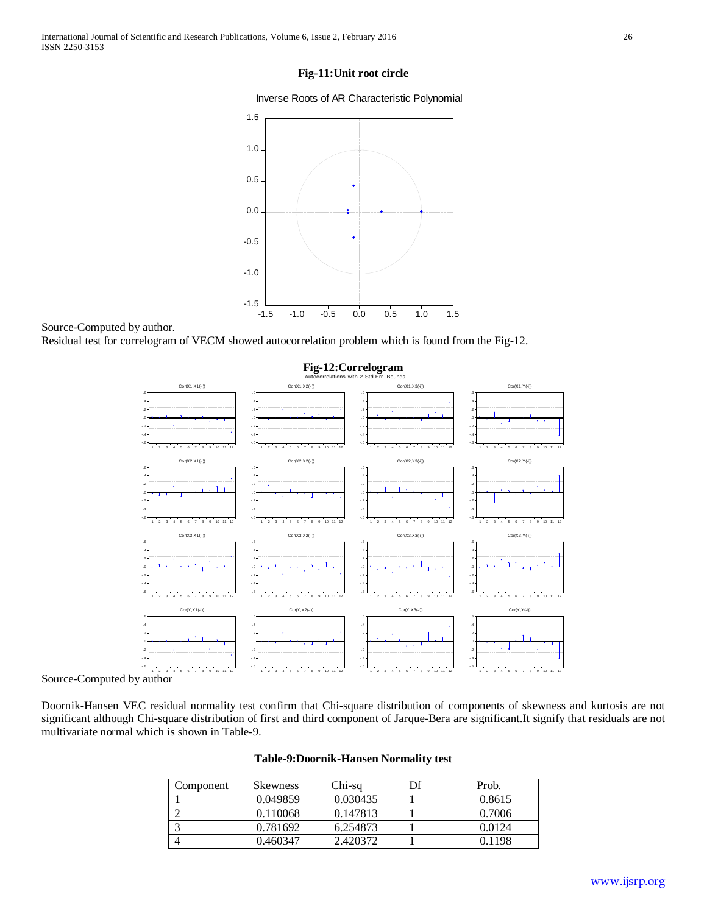## **Fig-11:Unit root circle**

Inverse Roots of AR Characteristic Polynomial



Source-Computed by author.

Residual test for correlogram of VECM showed autocorrelation problem which is found from the Fig-12.





Doornik-Hansen VEC residual normality test confirm that Chi-square distribution of components of skewness and kurtosis are not significant although Chi-square distribution of first and third component of Jarque-Bera are significant.It signify that residuals are not multivariate normal which is shown in Table-9.

| Table-9:Doornik-Hansen Normality test |  |
|---------------------------------------|--|
|---------------------------------------|--|

| Component | Skewness | Chi-sq   | Df | Prob.  |
|-----------|----------|----------|----|--------|
|           | 0.049859 | 0.030435 |    | 0.8615 |
|           | 0.110068 | 0.147813 |    | 0.7006 |
|           | 0.781692 | 6.254873 |    | 0.0124 |
|           | 0.460347 | 2.420372 |    | 0.1198 |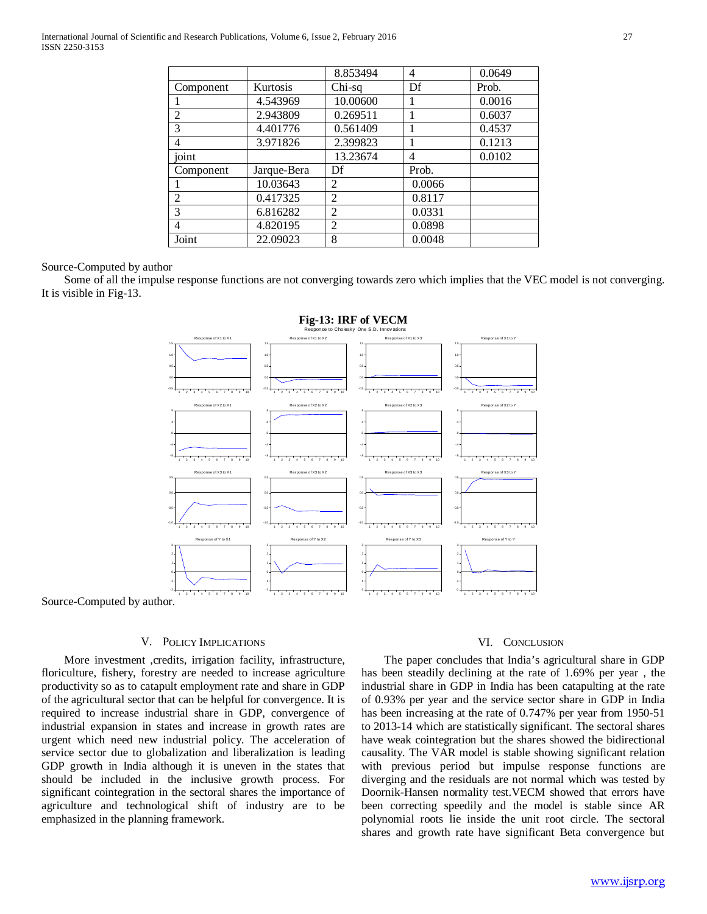|                |             | 8.853494       | 4      | 0.0649 |
|----------------|-------------|----------------|--------|--------|
| Component      | Kurtosis    | Chi-sq         | Df     | Prob.  |
|                | 4.543969    | 10.00600       |        | 0.0016 |
| $\overline{2}$ | 2.943809    | 0.269511       |        | 0.6037 |
| 3              | 4.401776    | 0.561409       |        | 0.4537 |
| 4              | 3.971826    | 2.399823       |        | 0.1213 |
| joint          |             | 13.23674       | 4      | 0.0102 |
| Component      | Jarque-Bera | Df             | Prob.  |        |
|                | 10.03643    | $\overline{2}$ | 0.0066 |        |
| $\overline{c}$ | 0.417325    | $\overline{2}$ | 0.8117 |        |
| 3              | 6.816282    | $\overline{2}$ | 0.0331 |        |
| 4              | 4.820195    | $\overline{2}$ | 0.0898 |        |
| Joint          | 22.09023    | 8              | 0.0048 |        |

## Source-Computed by author

 Some of all the impulse response functions are not converging towards zero which implies that the VEC model is not converging. It is visible in Fig-13.



Source-Computed by author.

## V. POLICY IMPLICATIONS

 More investment ,credits, irrigation facility, infrastructure, floriculture, fishery, forestry are needed to increase agriculture productivity so as to catapult employment rate and share in GDP of the agricultural sector that can be helpful for convergence. It is required to increase industrial share in GDP, convergence of industrial expansion in states and increase in growth rates are urgent which need new industrial policy. The acceleration of service sector due to globalization and liberalization is leading GDP growth in India although it is uneven in the states that should be included in the inclusive growth process. For significant cointegration in the sectoral shares the importance of agriculture and technological shift of industry are to be emphasized in the planning framework.

## VI. CONCLUSION

 The paper concludes that India's agricultural share in GDP has been steadily declining at the rate of 1.69% per year , the industrial share in GDP in India has been catapulting at the rate of 0.93% per year and the service sector share in GDP in India has been increasing at the rate of 0.747% per year from 1950-51 to 2013-14 which are statistically significant. The sectoral shares have weak cointegration but the shares showed the bidirectional causality. The VAR model is stable showing significant relation with previous period but impulse response functions are diverging and the residuals are not normal which was tested by Doornik-Hansen normality test.VECM showed that errors have been correcting speedily and the model is stable since AR polynomial roots lie inside the unit root circle. The sectoral shares and growth rate have significant Beta convergence but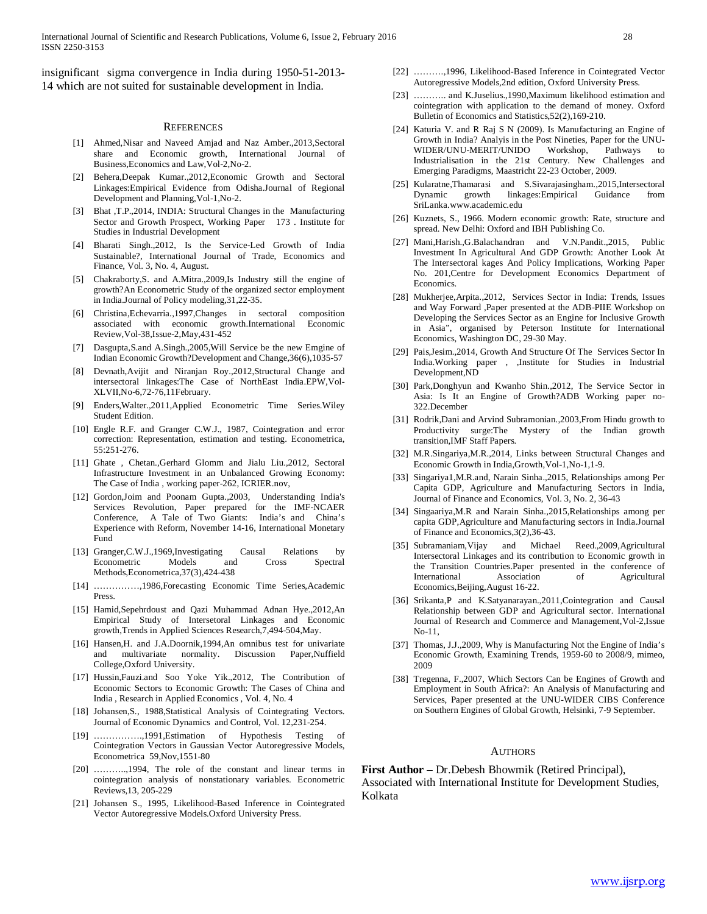insignificant sigma convergence in India during 1950-51-2013- 14 which are not suited for sustainable development in India.

#### **REFERENCES**

- [1] Ahmed,Nisar and Naveed Amjad and Naz Amber.,2013,Sectoral share and Economic growth, International Journal of Business,Economics and Law,Vol-2,No-2.
- [2] Behera,Deepak Kumar.,2012,Economic Growth and Sectoral Linkages:Empirical Evidence from Odisha.Journal of Regional Development and Planning,Vol-1,No-2.
- [3] Bhat ,T.P.,2014, INDIA: Structural Changes in the Manufacturing Sector and Growth Prospect, Working Paper 173 . Institute for Studies in Industrial Development
- [4] Bharati Singh.,2012, Is the Service-Led Growth of India Sustainable?, International Journal of Trade, Economics and Finance, Vol. 3, No. 4, August.
- [5] Chakraborty,S. and A.Mitra.,2009,Is Industry still the engine of growth?An Econometric Study of the organized sector employment in India.Journal of Policy modeling,31,22-35.
- [6] Christina,Echevarria.,1997,Changes in sectoral composition associated with economic growth.International Economic Review,Vol-38,Issue-2,May,431-452
- [7] Dasgupta,S.and A.Singh.,2005,Will Service be the new Emgine of Indian Economic Growth?Development and Change,36(6),1035-57
- [8] Devnath,Avijit and Niranjan Roy.,2012,Structural Change and intersectoral linkages:The Case of NorthEast India.EPW,Vol-XLVII,No-6,72-76,11February.
- [9] Enders,Walter.,2011,Applied Econometric Time Series.Wiley Student Edition.
- [10] Engle R.F. and Granger C.W.J., 1987, Cointegration and error correction: Representation, estimation and testing. Econometrica, 55:251-276.
- [11] Ghate , Chetan.,Gerhard Glomm and Jialu Liu.,2012, Sectoral Infrastructure Investment in an Unbalanced Growing Economy: The Case of India , working paper-262, ICRIER.nov,
- [12] Gordon,Joim and Poonam Gupta.,2003, Understanding India's Services Revolution, Paper prepared for the IMF-NCAER Conference, A Tale of Two Giants: India's and China's Experience with Reform, November 14-16, International Monetary Fund
- [13] Granger,C.W.J.,1969,Investigating Causal Relations by Econometric Models and Cross Spectral Methods,Econometrica,37(3),424-438
- [14] ……………,1986,Forecasting Economic Time Series,Academic Press.
- [15] Hamid,Sepehrdoust and Qazi Muhammad Adnan Hye.,2012,An Empirical Study of Intersetoral Linkages and Economic growth,Trends in Applied Sciences Research,7,494-504,May.
- [16] Hansen, H. and J.A.Doornik, 1994, An omnibus test for univariate and multivariate normality. Discussion Paper,Nuffield College,Oxford University.
- [17] Hussin,Fauzi.and Soo Yoke Yik.,2012, The Contribution of Economic Sectors to Economic Growth: The Cases of China and India , Research in Applied Economics , Vol. 4, No. 4
- [18] Johansen,S., 1988,Statistical Analysis of Cointegrating Vectors. Journal of Economic Dynamics and Control, Vol. 12,231-254.
- [19] …………….,1991,Estimation of Hypothesis Testing of Cointegration Vectors in Gaussian Vector Autoregressive Models, Econometrica 59,Nov,1551-80
- [20] ………..,1994, The role of the constant and linear terms in cointegration analysis of nonstationary variables. Econometric Reviews,13, 205-229
- [21] Johansen S., 1995, Likelihood-Based Inference in Cointegrated Vector Autoregressive Models.Oxford University Press.
- [22] ……….,1996, Likelihood-Based Inference in Cointegrated Vector Autoregressive Models,2nd edition, Oxford University Press.
- [23] ……….. and K.Juselius.,1990,Maximum likelihood estimation and cointegration with application to the demand of money. Oxford Bulletin of Economics and Statistics,52(2),169-210.
- [24] Katuria V. and R Raj S N (2009). Is Manufacturing an Engine of Growth in India? Analyis in the Post Nineties, Paper for the UNU-WIDER/UNU-MERIT/UNIDO Workshop, Pathways to Industrialisation in the 21st Century. New Challenges and Emerging Paradigms, Maastricht 22-23 October, 2009.
- [25] Kularatne,Thamarasi and S.Sivarajasingham.,2015,Intersectoral Dynamic growth linkages:Empirical Guidance from SriLanka.www.academic.edu
- [26] Kuznets, S., 1966. Modern economic growth: Rate, structure and spread. New Delhi: Oxford and IBH Publishing Co.
- [27] Mani,Harish.,G.Balachandran and V.N.Pandit.,2015, Public Investment In Agricultural And GDP Growth: Another Look At The Intersectoral kages And Policy Implications, Working Paper No. 201,Centre for Development Economics Department of Economics.
- [28] Mukherjee,Arpita.,2012, Services Sector in India: Trends, Issues and Way Forward ,Paper presented at the ADB-PIIE Workshop on Developing the Services Sector as an Engine for Inclusive Growth in Asia", organised by Peterson Institute for International Economics, Washington DC, 29-30 May.
- [29] Pais,Jesim.,2014, Growth And Structure Of The Services Sector In India.Working paper , ,Institute for Studies in Industrial Development,ND
- [30] Park,Donghyun and Kwanho Shin.,2012, The Service Sector in Asia: Is It an Engine of Growth?ADB Working paper no-322.December
- [31] Rodrik,Dani and Arvind Subramonian.,2003,From Hindu growth to Productivity surge:The Mystery of the Indian growth transition,IMF Staff Papers.
- [32] M.R.Singariya, M.R., 2014, Links between Structural Changes and Economic Growth in India,Growth,Vol-1,No-1,1-9.
- [33] Singariya1,M.R.and, Narain Sinha.,2015, Relationships among Per Capita GDP, Agriculture and Manufacturing Sectors in India, Journal of Finance and Economics, Vol. 3, No. 2, 36-43
- [34] Singaariya,M.R and Narain Sinha.,2015,Relationships among per capita GDP,Agriculture and Manufacturing sectors in India.Journal of Finance and Economics,3(2),36-43.
- [35] Subramaniam,Vijay and Michael Reed.,2009,Agricultural Intersectoral Linkages and its contribution to Economic growth in the Transition Countries.Paper presented in the conference of International Association of Agricultural Economics,Beijing,August 16-22.
- [36] Srikanta,P and K.Satyanarayan.,2011,Cointegration and Causal Relationship between GDP and Agricultural sector. International Journal of Research and Commerce and Management,Vol-2,Issue No-11,
- [37] Thomas, J.J.,2009, Why is Manufacturing Not the Engine of India's Economic Growth, Examining Trends, 1959-60 to 2008/9, mimeo, 2009
- [38] Tregenna, F.,2007, Which Sectors Can be Engines of Growth and Employment in South Africa?: An Analysis of Manufacturing and Services, Paper presented at the UNU-WIDER CIBS Conference on Southern Engines of Global Growth, Helsinki, 7-9 September.

#### **AUTHORS**

**First Author** – Dr.Debesh Bhowmik (Retired Principal), Associated with International Institute for Development Studies, Kolkata